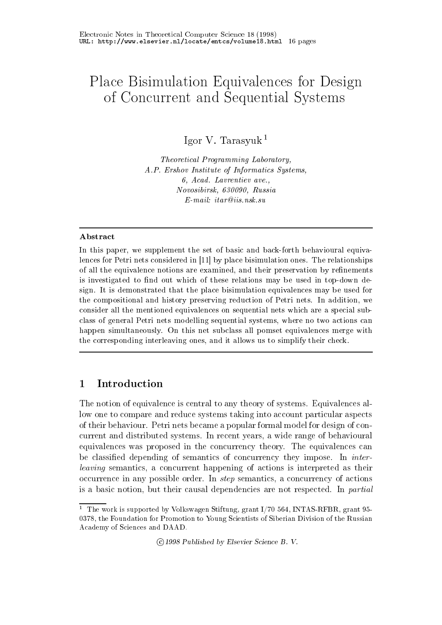# Place Bisimulation Equivalences for Design of Concert and Security Systems and Systems and Security Systems and Systems and Systems and Systems and Systems and

Igor V Tarasyuk

Theoretical Programming Laboratory A.P. Ershov Institute of Informatics Systems, - Acad Lavrentiev ave Novosibirsk - Russia - Russia - Russia - Russia - Russia - Russia - Russia - Russia - Russia - Russia - Russia  $E$ -mail: itar@iis.nsk.su

#### Abstract

In this paper, we supplement the set of basic and back-forth behavioural equivalences for Petri nets considered in - by place bisimulation ones The relationships of all the equivalence notions are examined, and their preservation by refinements is investigated to find out which of these relations may be used in top-down design. It is demonstrated that the place bisimulation equivalences may be used for the compositional and history preserving reduction of Petri nets. In addition, we consider all the mentioned equivalences on sequential nets which are a special sub class of general Petri nets modelling sequential systems where no two actions can happen simultaneously On this net subclass all pomset equivalences merge with the corresponding interleaving ones, and it allows us to simplify their check.

## Introduction

The notion of equivalence is central to any theory of systems. Equivalences allow one to compare and reduce systems taking into account particular aspects of their behaviour. Petri nets became a popular formal model for design of concurrent and distributed systems In recent years- a wide range of behavioural equivalences was proposed in the concurrency theory. The equivalences can be classified depending of semantics of concurrency they impose. In *inter*leaving semantics- a concurrent happening of actions is interpreted as their occurrence in any possible order in step semantics- any concurrency of actions-  $\sim$  and actionsis a basic notion- but their causal dependencies are not respected In partial

 $\mathcal{L}_{\mathcal{L}}$  . The published by Elsevier Science B.  $\mathcal{L}_{\mathcal{L}}$ 

The work is supported by Volkswagen Stiftung, grant 1/70 504, INTAS RFDR, grant 95- - the Foundation for Promotion to Young Scientists of Siberian Division of the Russian Academy of Sciences and DAAD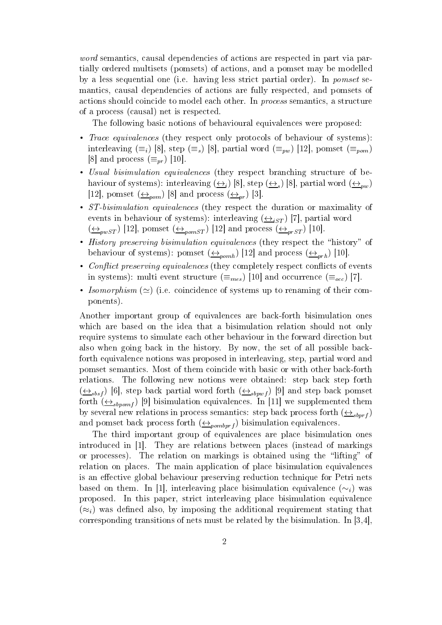word semantics- causal dependencies of actions are respectively and part via part via part via part via part v tially ordered multisets pomsets of actions- and a pomset may be modelled by a less sequential one (i.e. having less strict partial order). In *pomset* semantics- causal dependencies of actions are fully respected- and pomsets of actions showledge to model each other In process semantics-in process semantics-in process semantics-in proces of a process (causal) net is respected.

The following basic notions of behavioural equivalences were proposed:

- $T$ race equivalences (they respect only protocols of behaviour or systems). interleaving  $(=_i)$  [8], step  $(=_s)$  [8], partial word  $(=_nw)$  [12], pomset  $(=_nom)$  $\lbrack 8 \rbrack$  and process  $\left(\equiv_{pr}\right) \lbrack 10 \rbrack.$
- Usual bisimulation equivalences they respect branching structure of be haviour of systems): interleaving  $(\frac{\leftrightarrow}{\rightarrow})$  [8], step  $(\frac{\leftrightarrow}{\rightarrow})$  [8], partial word  $(\frac{\leftrightarrow}{\rightarrow})$ [12], pomset  $(\triangle_{\textit{pom}})$  [8] and process  $(\triangle_{\textit{pr}})$  [5].
- $\mathcal{S}$  is a configuration equivalences (they respect the duration or maximality or events in behaviour of systems): interleaving  $(\frac{\leftrightarrow}{\cdot}_{iST})$  [7], partial word  $\left(\frac{\longleftrightarrow_{pwST}}{\longleftrightarrow_{pwST}}\right)$  [12], pomset  $\left(\frac{\longleftrightarrow_{pomST}}{\longleftrightarrow_{pomST}}\right)$  [12] and process  $\left(\frac{\longleftrightarrow_{prsT}}{\longleftrightarrow_{prsT}}\right)$  [10].
- History preserving bisimulation equivalences they respect the history of behaviour of systems): pomset  $(\triangle_{nomb})$  [12] and process  $(\triangle_{nph})$  [10].
- Conict preserving equivalences they completely respect conicts of events in systems): multi event structure  $(=_{mes})$  [10] and occurrence  $(=_{occ})$  [7].
- *isomorphism* ( $\simeq$ ) (i.e. coincidence of systems up to renaming of their components

Another important group of equivalences are back-forth bisimulation ones which are based on the idea that a bisimulation relation should not only require systems to simulate each other behaviour in the forward direction but also when going back in the history By now- the set of all possible back forth equivalence notions was proposed in interleaving- step- partial word and pomset semantics. Most of them coincide with basic or with other back-forth relations. The following new notions were obtained: step back step forth  $\left(\frac{1}{10}\right)^{10}$ , step back partial word forth  $\left(\frac{1}{10}\right)^{10}$  and step back pomset forth  $\left( \leftrightarrow_{sbnomf} \right)$  [9] oisimulation equivalences. In [11] we supplemented them by several new relations in process semantics: step back process forth  $(\leftrightarrow_{sbnrf})$ and pomset back process forth  $(\triangle_{\text{pombprf}})$  bisimulation equivalences.

The third important group of equivalences are place bisimulation ones introduced in the second are relations between places  $\mathbb{R}^n$  are relations in the mathematic control of mathematic or processes). The relation on markings is obtained using the "lifting" of relation on places. The main application of place bisimulation equivalences is an effective global behaviour preserving reduction technique for Petri nets based on them. In [1], interleaving place bisimulation equivalence  $(\sim_i)$  was proposed In this paper- strict interleaving place bisimulation equivalence  $(\approx_i)$  was denned also, by imposing the additional requirement stating that corresponding transitions of nets must be related by the bisimulations must be related by the bisimulation In I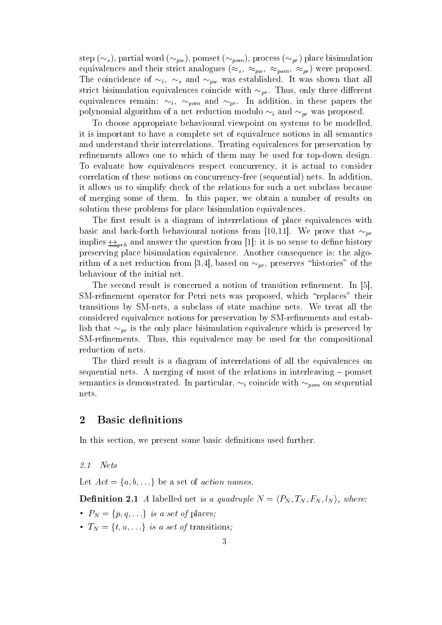step  $(\sim_s)$ , partial word  $(\sim_{nw})$ , pomset  $(\sim_{nom})$ , process  $(\sim_{nr})$  place bisimulation equivalences and their strict analogues  $(\approx_s, \approx_{pw}, \approx_{pom}, \approx_{pr})$  were proposed. The coincidence of  $\sim_i$ ,  $\sim_s$  and  $\sim_{\text{pw}}$  was established. It was shown that all strict bisimulation equivalences coincide with  $\sim_{pr}.$  Thus, only three different equivalences remain:  $\sim_i$ ,  $\sim_{\textit{nom}}$  and  $\sim_{\textit{nr}}$ . In addition, in these papers the polynomial algorithm of a net reduction modulo  $\sim_i$  and  $\sim_{pr}$  was proposed.

To choose appropriate behavioural viewpoint on systems to be modelledit is important to have a complete set of equivalence notions in all semantics and understand their interrelations. Treating equivalences for preservation by refinements allows one to which of them may be used for top-down design. To evaluate how equivalences respect concurrency- it is actual to consider correlation of these notions on concurrency-free (sequential) nets. In addition. it allows us to simplify check of the relations for such a net subclass because of merging some of them In this paper- we obtain a number of results on solution these problems for place bisimulation equivalences

The first result is a diagram of interrelations of place equivalences with basic and back-forth behavioural notions from  $[10,11]$ . We prove that  $\sim_{\it{nr}}$ implies  $\leftrightarrow_{orb}$  and answer the question from [1]: it is no sense to denne history preserving place bisimulation equivalence. Another consequence is: the algorithm of a net reduction from  $[\mathfrak{d}, 4]$ , based on  $\sim_{pr}$ , preserves inistories of the behaviour of the initial net

The second result is concerned a notion of transition refinement. In  $\vert 5 \vert$ , SMrenement operator for Petri nets was proposed- which replaces their transitions by SMnets- a subclass of state machine nets We treat all the considered equivalence notions for preservation by SM-refinements and establish that  $\sim_{pr}$  is the only place bisimulation equivalence which is preserved by  $S$  is equivalence may be used for the composition  $\mathcal{L}$  , we use the composition of the composition  $\mathcal{L}$ reduction of nets

The third result is a diagram of interrelations of all the equivalences on sequential nets. A merging of most of the relations in interleaving  $-$  pomset semantics is demonstrated. In particular,  $\sim_i$  coincide with  $\sim_{\textit{pom}}$  on sequential nets

In this section- we present some basic denitions used further

 $2.1$ Nets

Let  $Act = \{a, b, \ldots\}$  be a set of *action names*.

**Denmition 2.1** A labelled het is a quadruple  $N = (P_N, I_N, F_N, l_N)$ , where:

- $\bullet$   $F_N = \{p, q, \ldots\}$  is a set of places,
- $\bullet$   $I_N = \{t, u, \ldots\}$  is a set of transitions,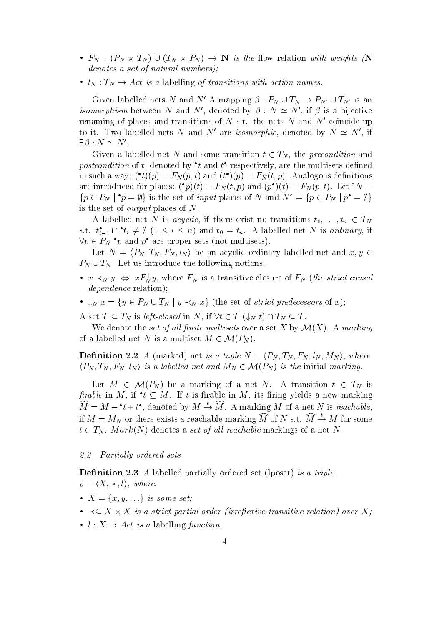- $F_N$  :  $(F_N \times I_N) \cup (I_N \times F_N) \rightarrow \mathbb{N}$  is the now relation with weights (N denotes a set of natural numbers);
- $\bullet$   $\iota_N : \iota_N \to \mathit{Act}$  is a fabelling of transitions with action names.

Given labelied nets *N* and *N* A mapping  $\rho : P_N \cup I_N \to P_{N'} \cup I_{N'}$  is an *isomorphism* between *i*v and *i*v, denoted by  $\rho : N \simeq N$ , if  $\rho$  is a bijective renaming of places and transitions of N s.t. the nets N and  $N'$  coincide up to it. Two labelled hets *i*v and *i*v are *isomorphic*, denoted by  $N \simeq N$ , if  $\Box D$  :  $N \cong N$  .

Given a labelled net to and some transition  $t \in I_N$ , the *precondition* and *postcondition* of t, denoted by t and t respectively, are the multisets denned in such a way:  $(\iota)(p) = F_N(p, \iota)$  and  $(\iota)(p) = F_N(\iota, p)$ . Analogous definitions are introduced for places:  $(p)(t) = F_N(t, p)$  and  $(p)(t) = F_N(p, t)$ . Let  $N =$  $\{p \in P_N \mid p = \psi\}$  is the set of *input* places of N and  $N^+ = \{p \in P_N \mid p^+ = \psi\}$ is the set of *output* places of  $N$ .

A labelled net TV is *acyclic*, if there exist no transitions  $t_0, \ldots, t_n \in I_N$ s.t.  $t_{i-1} \sqcup t_i \neq \emptyset$  ( $1 \leq i \leq n$ ) and  $t_0 = t_n$ . A labelled net N is *ordinary*, if  $\forall p \in P_N$  p and p are proper sets (not multisets).

Let  $N = \langle P_N, T_N, F_N, l_N \rangle$  be an acyclic ordinary labelled net and  $x, y \in$  $P_N \cup T_N$ . Let us introduce the following notions.

- $x \prec_N y \Leftrightarrow x \, r \nightharpoonup_N y$ , where  $r \nightharpoonup_N$  is a transitive closure of  $r \nightharpoonup_N$  (*the strict causal* dependence relation);
- $\bullet \bigcup_{N} x = \{y \in P_N \cup T_N \mid y \prec_N x\}$  (the set of strict predecessors of x);

A set  $I \subseteq I_N$  is left-closed in N, if  $\forall t \in I$   $(\downarrow_N t) \sqcup I_N \subseteq I$ .

We defible the set of all finite multisets over a set  $A$  by  $\mathcal{M}(A)$ . A marking A set  $T \subseteq T_N$  is *left-closed* in N, if  $\forall t \in T \ (\downarrow_N t) \cap T$ .<br>We denote the *set of all finite multisets* over a set of a labelled net N is a multiset  $M \in \mathcal{M}(P_N)$ . of a labelled net N is a multiset  $M \in \mathcal{M}(P_N)$ .

**Denmition 2.2** A (marked) net is a tuple  $N = \langle P_N, I_N, F_N, \iota_N, M_N \rangle$ , where **Definition 2.2** A (marked) net is a tuple  $N = \langle P_N, T_N, F_N \rangle$ <br>  $\langle P_N, T_N, F_N, l_N \rangle$  is a labelled net and  $M_N \in \mathcal{M}(P_N)$  is the i  $\langle P_N, T_N, F_N, l_N \rangle$  is a labelled net and  $M_N \in \mathcal{M}(P_N)$  is the initial marking.

Let  $M \in \mathcal{M}(P_N)$  be a marking of a net  $N$ . A transition  $t \in I_N$  is *firable* in M, if  $t \subseteq M$ . If t is firable in M, its firing yields a new marking  $M = M - t + t^{\bullet}$ , denoted by  $M \to M$ . A marking M of a net N is reachable, if  $M = M_N$  or there exists a reachable marking M of N s.t.  $M \rightarrow M$  for some  $t \in I_N$ . Mark(N) denotes a set of all reachable markings of a net N.

#### Partially ordered sets

Denition - A labelled partially ordered set lposet is a triple  $\rho = \langle X, \prec, l \rangle$ , where:

- $\bullet$   $\Lambda = \{x, y, \ldots\}$  is some set;
- $\bullet$   $\prec$   $\subset$   $\Lambda$   $\times$   $\Lambda$  is a strict partial order intrenexive transitive relation) over  $\Lambda$ :
- $\iota : A \to Act$  is a labelling *function*.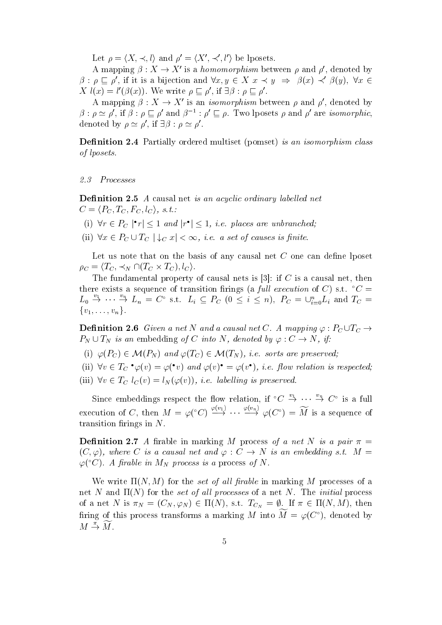Let  $\rho = \langle X, \prec, l \rangle$  and  $\rho' = \langle X', \prec', l' \rangle$  be lposets.

A mapping  $\rho: \Lambda \to \Lambda$  is a *nomomorphism* between  $\rho$  and  $\rho$ , denoted by  $\rho: \rho \subset \rho$ , if it is a bijection and  $\forall x, y \in A$   $x \prec y \Rightarrow \rho(x) \prec \rho(y)$ ,  $\forall x \in A$  $\Lambda_l(x) = l_l(\beta(x))$ . We write  $\rho \sqsubset \rho$ , if  $\exists \rho : \rho \sqsubset \rho$ .

A mapping  $\rho: \Lambda \to \Lambda$  is an *isomorphism* between  $\rho$  and  $\rho$ , denoted by  $\rho$ :  $\rho \simeq \rho$ , if  $\rho : \rho \sqsubset \rho$  and  $\rho^{-} : \rho \sqsubset \rho$ . I wo iposets  $\rho$  and  $\rho$  are *isomorphic*, denoted by  $\rho \cong \rho$ . If  $\exists \rho : \rho \cong \rho$ .

Denition - Partially ordered multiset pomset is an isomorphism class of lposets

 $2.3$ Processes

Denition - <sup>A</sup> causal net is an acyclic ordinary label led net  $C = \langle P_C, T_C, F_C, l_C \rangle, s.t.$ **Definition 2.5** A causal flet is an acyclic ordinary tabletied net<br>  $C = \langle P_C, T_C, F_C, I_C \rangle$ , s.t.:<br>
(i)  $\forall r \in P_C | \mathbf{r} | \leq 1$  and  $|\mathbf{r}^{\bullet}| \leq 1$ , i.e. places are unbranched;

- 
- (i)  $\forall r \in P_C \mid r \leq 1$  and  $|r^{\bullet}| \leq 1$ , *i.e.* places are unbranche<br>(ii)  $\forall x \in P_C \cup T_C \mid \downarrow_C x \mid < \infty$ , *i.e.* a set of causes is finite. (ii)  $\forall x \in P_C \cup T_C \mid \downarrow_C x \mid \infty$ , *i.e.* a set of causes is finite.

Let us note that on the basis of any causal net  $C$  one can define lposet  $\rho_C = \langle I_C, \preceq_N \sqcup \sqcup_{C} \times I_C, \sqcup_{C} \rangle.$ 

the fundamental property of causal nets is put to be a causal nets in the causal nets is there exists a sequence of transition firmigs (a *full execution* of C) s.t.  $C =$  $L_0 \rightarrow \cdots \rightarrow L_n = C^{\circ}$  s.t.  $L_i \subseteq P_C$   $(0 \leq i \leq n)$ ,  $P_C = \bigcup_{i=0}^{n} L_i$  and  $T_C =$  $\{v_1,\ldots,v_n\}.$ 

**Demition 2.6** Given a net is and a causal net C. A mapping  $\varphi : r_C \cup r_C \rightarrow$  $P_N \cup I_N$  is an embedding of C into N, denoted by  $\varphi : C \to N$ , if From 2.6 Given a net *N* and a causal net C.<br>  $P_C$  is an embedding of C into *N*, denoted by<br>  $P_C$   $\in$   $\mathcal{M}(P_N)$  and  $\varphi(T_C) \in \mathcal{M}(T_N)$ , i.e. so

- if  $\mathcal{F}$  is a subset of  $\mathcal{F}$  in the property of  $\mathcal{F}$  is a subset of  $\mathcal{F}$  in the property of  $\mathcal{F}$
- (ii)  $\forall v \in I_C$   $\varphi(v) = \varphi(v)$  and  $\varphi(v) = \varphi(v)$ , i.e. now relation is respected;
- (iii)  $\forall v \in I_C \; l_C(v) \equiv l_N(\varphi(v)), \; i.e.$  tabelling is preserved.

Since embeddings respect the flow relation, if  $\mathcal{C} \rightarrow \cdots \rightarrow \mathcal{C}^{\circ}$  is a full execution of C, then  $M = \varphi^{\circ} C$   $\longrightarrow$   $\longrightarrow$   $\longrightarrow$   $\longrightarrow$   $\varphi(C^{\circ}) = M$  is a sequence of transition firings in  $N$ .

Denition - A rable in marking M process of a net N is a pair (C,  $\varphi$ ), where C is a causal net and  $\varphi$  : C  $\rightarrow$  N is an embedding s.t.  $M =$  $\varphi$ (C). A pravie in M<sub>N</sub> process is a process of N.

where  $\mathcal{L}_{\mathcal{A}}$  is a large in the set of all later  $\mathcal{L}_{\mathcal{A}}$  and  $\mathcal{L}_{\mathcal{A}}$  are the set of all large  $\mathcal{L}_{\mathcal{A}}$ net al linet nagal processes of all processes of a net also and a network processes of a network of a network of a net N is  $\pi_N = (C_N, \varphi_N) \in \Pi(N)$ , s.t.  $I_{C_N} = \varphi$ . If  $\pi \in \Pi(N, M)$ , then ifting of this process transforms a marking  $M$  into  $M = \varphi(U)$ , denoted by  $M \stackrel{\pi}{\rightarrow} \widetilde{M}$ .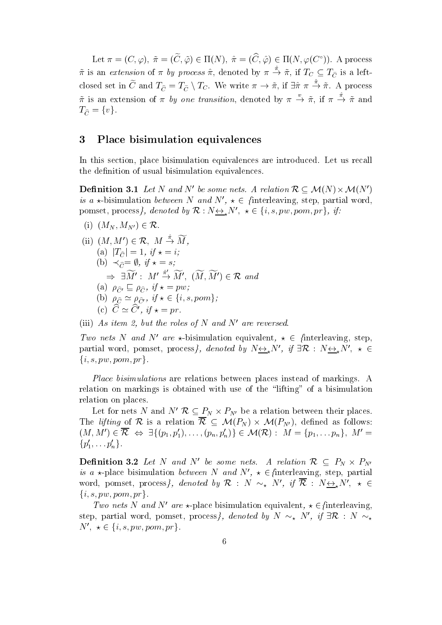Let  $\pi = (C, \varphi), \pi = (C, \varphi) \in \Pi(N), \pi = (C, \varphi) \in \Pi(N, \varphi(C^{\dagger}))$ . A process  $\pi$  is an extension of  $\pi$  by process  $\pi$ , denoted by  $\pi \to \pi$ , if  $T_C \subseteq T_{\widetilde{C}}$  is a leftclosed set in C and  $T_{\tilde{C}} = T_{\tilde{C}} \setminus T_C$ . We write  $\pi \to \pi$ , if  $\exists \pi \pi \to \pi$ . A process  $\pi$  is an extension of  $\pi$  by one transition, denoted by  $\pi \to \pi$ , if  $\pi \to \pi$  and  $I_{\widehat{C}} = \{v\}.$ 

#### Place bisimulation equivalences

In this section- place bisimulation equivalences are introduced Let us recall the definition of usual bisimulation equivalences.

**Denition 3.1** Let N and N be some nets. A relation  $\kappa \subset M(N) \times M(N)$ is a  $\star$ -disimulation *between iv* and *iv*,  $\star \in \Omega$  interleaving, step, partial word, pomset, process $\gamma$ , aenoted by  $\kappa : N \underline{\leftrightarrow}_\star N$  ,  $\star$   $\in$ nets. A relation  $\mathcal{R} \subseteq \mathcal{M}(N) \times \mathcal{M}(N)$ <br>  $\star \in$  {interleaving, step, partial wo<br>  $N', \star \in \{i, s, pw, pom, pr\}$ , if: -bisimulation between *N* and<br>et, process*}, denoted by*  $\mathcal{R}$  :<br> $M_N, M_{N'} ) \in \mathcal{R}$ .

. . . . .

(i) 
$$
(M_N, M_{N'}) \in \mathcal{R}
$$
.  
\n(ii)  $(M, M') \in \mathcal{R}$ ,  $M \stackrel{\hat{\pi}}{\rightarrow} \widetilde{M}$ ,  
\n(a)  $|T_{\hat{C}}| = 1$ ,  $if \star = i$ ;  
\n(b)  $\prec_{\hat{C}} = \emptyset$ ,  $if \star = s$ ;  
\n $\Rightarrow \exists \widetilde{M'} : M' \stackrel{\hat{\pi}'}{\rightarrow} \widetilde{M'}, (\widetilde{M}, \widetilde{M'}) \in \mathcal{R}$  and  
\n(a)  $\rho_{\hat{C}'} \sqsubseteq \rho_{\hat{C}}$ ,  $if \star = pw$ ;  
\n(b)  $\rho_{\hat{C}} \simeq \rho_{\hat{C}'}$ ,  $if \star \in \{i, s, pom\}$ ;  
\n(c)  $\widehat{C} \simeq \widehat{C}'$ ,  $if \star = pr$ .

(iii) As uem z, out the roles of N and N are reversed.

*I* wo nets *N* and *N* are  $\star$ -Disimulation equivalent,  $\star \in \Omega$  interleaving, step, partial word, pomset, process f, denoted by  $N \leftrightarrow_{\star} N'$ ,  $\eta \exists K : N \leftrightarrow_{\star} N'$ ,  $\star \in$  $\{i, s, pw, pom, pr\}.$ 

Place bisimulations are relations between places instead of markings. A relation on markings is obtained with use of the "lifting" of a bisimulation relation on places ition on markings is obtained with use of the "lifting" of a bisimulation<br>tion on places.<br>Let for nets N and N'  $\mathcal{R} \subseteq P_N \times P_{N'}$  be a relation between their places.

The *ujung* of  $\kappa$  is a relation  $\kappa \subseteq \mathcal{M}(P_N) \times \mathcal{M}(P_{N'})$ , defined as follows: be a relation between<br> $P_N$ )  $\times$   $\mathcal{M}(P_{N'})$ , define  $(M, M) \in \mathcal{K} \Leftrightarrow \exists \{ (p_1, p_1), \ldots, (p_n, p_n) \} \in \mathcal{M}(\mathcal{K}) : M = \{ p_1, \ldots p_n \}, M =$  $\{p_1,\ldots p_n\}$ .

**Denmition 5.2** Let N and N be some nets. A relation  $K \subseteq P_N \times P_{N'}$ is a  $\star$ -place bisimulation between iv and iv,  $\star \in \{$ interleaving, step, partial word, pomset, process f, denoted by  $\kappa : N \sim_{\star} N$ , if  $\kappa : N \otimes_{\star} N$ ,  $\star \in$  $\{i, s, pw, pom, pr\}.$ 

Two nets N and N' are  $\star$ -place bisimulation equivalent,  $\star \in$  finterleaving, step, partial word, pomset, process<sub>i</sub>, *denoted by N*  $\sim_{\star}$  N,  $y \preceq \mathcal{K}$  : N  $\sim_{\star}$ Two nets N and N' are  $\star$ -pl.<br>step, partial word, pomset, pro<br>N',  $\star \in \{i, s, pw, pom, pr\}$ .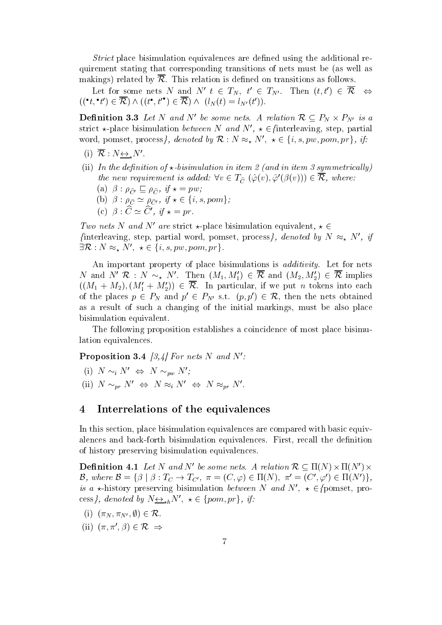Strict place bisimulation equivalences are defined using the additional requirement stating that corresponding transitions of nets must be (as well as makings) related by  $\overline{\mathcal{R}}$ . This relation is defined on transitions as follows.

Let for some nets *N* and *N*  $t \in I_N$ ,  $t \in I_{N'}$ . Then  $(t, t) \in K$  $((\lbrace t, \lceil t \rceil) \in \mathcal{K}) \wedge ((t^*, t^*) \in \mathcal{K}) \wedge ((t_N(t) = t_{N'}(t^*)).$ 

**Denition 5.5** Let N and N be some nets. A relation  $\mathcal{R} \subseteq P_N \times P_{N'}$  is a strict  $\star$ -place bisimulation *between iv and iv*,  $\star \in \{$  interleaving, step, partial word, pomset, process  $\gamma$ , denoted by  $\kappa : N \approx_{\star} N$ ,  $\star \in \{$ A relation  $\mathcal{R} \subseteq P_N \times P_{N'}$  is a<br>  $\star \in \{\text{interleaving, step, partial} \ N', \ \star \in \{i, s, pw, pom, pr\}, \ if:$ 

- $(1)$  K :  $N \leftrightarrow N$ .
- ii In the de nition of bisimulation in item and in item symmetrical ly the new requirement is added:  $\forall v \in I_{\widehat{C}} (\varphi(v), \varphi(\varphi(v))) \in \mathcal{K}$ , where: the new requirement is added:  $\forall v \in T_{\widehat{C}}$  (<br>
(a)  $\beta : \rho_{\widehat{C'}} \subseteq \rho_{\widehat{C}}$ , if  $\star = pw$ ;<br>
(b)  $\beta : \rho_{\widehat{C}} \simeq \rho_{\widehat{C'}}$ , if  $\star \in \{i, s, pom\}$ ;
	- (a)  $p : \rho_{\widehat{C}'} \sqsubseteq \rho_{\widehat{C}}$ ,  $y \star = p \iota$ Cb if pw
	-
	- (c)  $p: C \cong C$ ,  $y \star = pr$ .

Two nets N and N' are strict  $\star$ -place bisimulation equivalent,  $\star \in$ The reaving, step, partial word, pomset, process  $\beta$ , denoted by  $N \approx_{\star} N^{\gamma}$ , y  $\exists K : N \approx_{\star} N , \star \in \{$ *I* and *N'* are strict  $\star$ -place bisim<br>ig, step, partial word, pomset, j<br>*N'*,  $\star \in \{i, s, pw, pom, pr\}$ .

An important property of place bisimulations is *additivity*. Let for nets N and N  $\mathcal{R}$  : N  $\sim_{\star}$  N . Then  $(M_1, M_1) \in \mathcal{R}$  and  $(M_2, M_2) \in \mathcal{R}$  implies  $((M_1 + M_2), (M_1 + M_2)) \in \mathcal{K}$ . In particular, if we put n tokens into each of the places  $p \in P_N$  and  $p \in P_{N'}$  s.t.  $(p, p) \in \mathcal{R}$ , then the nets obtained as a result of the initial matrix  $\mathbf{a}$  and  $\mathbf{a}$  and  $\mathbf{a}$  matrix be also place place place  $\mathbf{a}$ bisimulation equivalent

The following proposition establishes a coincidence of most place bisimu lation equivalences

**Proposition 5.4** [5,4] For nets in and in  $\mathcal{F}$ .

(i)  $N \sim_i N' \Leftrightarrow N \sim_{pw} N'$ ; (ii)  $N \sim_{pr} N' \Leftrightarrow N \approx_i N' \Leftrightarrow N \approx_{pr} N'.$ 

#### Interrelations of the equivalences

In this section- place bisimulation equivalences are compared with basic equiv alences and backforth bisimulation equivalences First- recall the denition of history preserving bisimulation equivalences of history preserving bisimulation equivalences. This, recall the definition<br>Definition 4.1 Let N and N' be some nets. A relation  $\mathcal{R} \subseteq \Pi(N) \times \Pi(N') \times$ 

 $\mathcal{D}, \text{ where } \mathcal{D} = \{ \rho \mid \rho : I_C \to I_{C'}, \pi = (C, \varphi) \in \Pi(N), \pi = (C', \varphi') \in \Pi(N') \},$ is a  $\star$ -nistory preserving bisimulation between iv and iv,  $\star \in \{$  pomset, process<sub>f</sub>, aenoted by  $N\mathop{\longrightarrow}\limits_{\bf \star h}I$  $\Gamma_C \to T_{C'}, \ \pi = (C, \varphi) \in \Pi(N)$ <br>ag bisimulation between N a<br>h<sup>N'</sup>,  $\star \in \{pom, pr\}$ , if: breserving bisimula<br>by  $N_{\sum_{k} h} N'$ ,  $\star \in \{n \}$ <br> $k \in \mathcal{R}$ .  $\begin{aligned} \mathcal{P}(\mathcal{P}(\mathcal{P}(\mathcal{P}(\mathcal{P}(\mathcal{P}(\mathcal{P}(\mathcal{P}(\mathcal{P}(\mathcal{P}(\mathcal{P}(\mathcal{P}(\mathcal{P}(\mathcal{P}(\mathcal{P}(\mathcal{P}(\mathcal{P}(\mathcal{P}(\mathcal{P}(\mathcal{P}(\mathcal{P}(\mathcal{P}(\mathcal{P}(\mathcal{P}(\mathcal{P}(\mathcal{P}(\mathcal{P}(\mathcal{P}(\mathcal{P}(\mathcal{P}(\mathcal{P}(\mathcal{P}(\mathcal{P}(\mathcal{P}(\mathcal{P}(\mathcal{P$ 

- $(1)$   $(\pi_N, \pi_{N'}, \psi)$   $\in$
- $(11)$   $(\pi, \pi, \rho)$   $\in$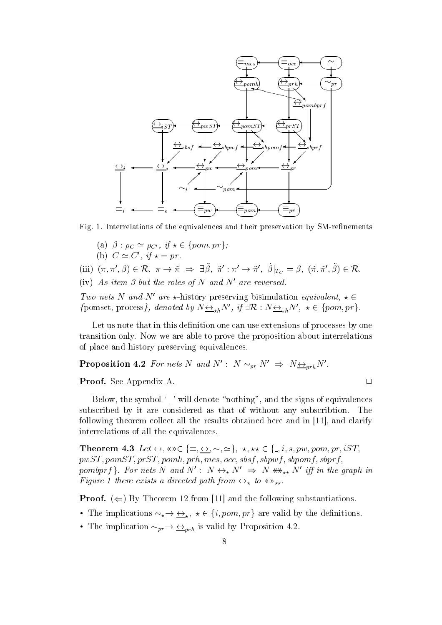

Fig Interrelations of the equivalences and their preservation by SMrenements as of the equivalences and the  $\rho_{C'}$ ,  $if \star \in \{pom, pr\}$ ;

- (a)  $\rho : \rho_C \simeq \rho_{C'}$ , u
- $\cup$   $\cong$   $\cup$   $\ldots$   $u \star = pr$ .

(a)  $\beta : \rho_C \simeq \rho_{C'}$ ,  $if \star \in \{pom, pr\};$ <br>
(b)  $C \simeq C'$ ,  $if \star = pr$ .<br>
(iii)  $(\pi, \pi', \beta) \in \mathcal{R}, \ \pi \to \tilde{\pi} \implies \exists \tilde{\beta}, \ \tilde{\pi}' : \pi' \to \tilde{\pi}', \ \tilde{\beta}|_{T_G} = \beta, \ (\tilde{\pi}, \tilde{\pi}', \tilde{\beta}) \in \mathcal{R}.$ 

(iv) As item 3 but the roles of N and N' are reversed.

Two nets N and N' are  $\star$ -history preserving bisimulation equivalent,  $\star \in$ (iv) As them 3 but the roles of N and N are reversed.<br>
Two nets N and N' are  $\star$ -history preserving bisimulation equivalent,  $\star \in$  {pomset, process}, denoted by  $N \leftrightarrow_{\star h} N'$ , if  $\exists \mathcal{R} : N \leftrightarrow_{\star h} N'$ ,  $\star \in$  {pom, pr}.

Let us note that in this definition one can use extensions of processes by one transition only. Now we are able to prove the proposition about interrelations of place and history preserving equivalences

**Proposition 4.2** For nets N and N : N  $\sim_{pr} N \Rightarrow N \nrightarrow_{prh} N$ .<br>**Proof.** See Appendix A.

**Proof.** See Appendix A.

Below- the symbol will denote nothing- and the signs of equivalences subscribed by it are considered as that of without any subscribtion. The following theorem collect all the results obtained here and in - and clarify interrelations of all the equivalences interrelations of all the equivalences.<br>
Theorem 4.3 Let  $\leftrightarrow$ ,  $\leftrightarrow$   $\in$   $\{ \equiv$ ,  $\leftrightarrow$ ,  $\sim$ ,  $\simeq$ },  $\star$ ,  $\star\star$   $\in$   $\{ \equiv$ ,  $i$ ,  $s$ ,  $pw$ ,  $pom$ ,  $pr$ ,  $iST$ ,

 $pwST, pomST, prST, pomh, prh, mes, occ, sbsf, sbpwf, sbpomf, sbprf,$ pomopry  $\{y \colon Y \to Y \colon Y \to Y \to Y \to Y \to Y \iff Y \to Y \to Y \}$  is the graph in **r** igure 1 inere exists a airected pain from  $\leftrightarrow_{\star}$  to  $\leftrightarrow_{\star\star}$ .

**Proof.**  $(\Leftarrow)$  by Theorem 12 from [11] and the following substantiations. **Proof.** ( $\Leftarrow$ ) By Theorem 12 from [11] as<br>• The implications  $\sim_{\star} \rightarrow \leftrightarrow_{\star}$ ,  $\star \in \{i, por$ from [11] and the following substantiations.<br>  $x \star \in \{i, pom, pr\}$  are valid by the definitions.

- The implications  $\sim_{\star} \rightarrow \underline{\leftrightarrow}_{\star}$ ,  $\star \in \{i, pom, pr\}$  are valid by the<br>• The implication  $\sim_{pr} \rightarrow \underline{\leftrightarrow}_{prh}$  is valid by Proposition 4.2.
-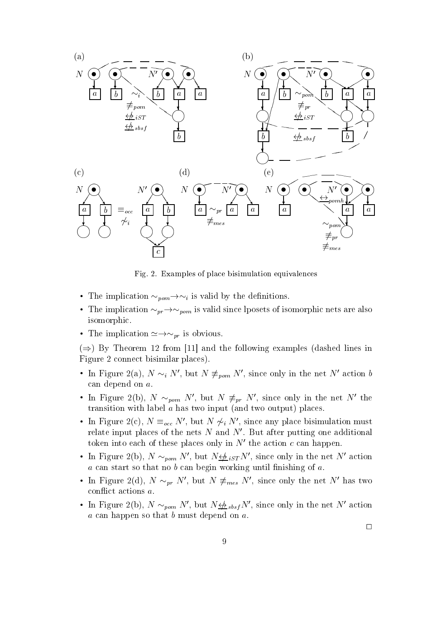

Fig. 2. Examples of place bisimulation equivalences

- The implication  $\sim_{\textit{pom}} \rightarrow \sim_i$  is valid by the definitions.
- The implication  $\sim_{pr}\rightarrow\sim_{\textit{pom}}$  is valid since iposets of isomorphic nets are also isomorphic
- The implication  $\simeq \rightarrow \sim_{nr}$  is obvious.

 $\Rightarrow$ ) by Theorem 12 from [11] and the following examples (dashed lines in Figure 2 connect bisimilar places).

- In Figure  $z(a)$ ,  $N \sim_i N$  , but  $N \neq_{\textit{pom}} N$  , since only in the net  $N$  action  $\theta$ can depend on a
- In Figure  $\mathcal{Z}(D)$ , iv  $\sim_{\textit{nom}} N$  , but iv  $\neq_{\textit{pr}} N$  , since only in the net iv the transition with label  $a$  has two input (and two output) places.
- In Figure  $z(c)$ ,  $N =_{occ} N$ , but  $N \not\sim_i N$ , since any place bisimulation must relate input places of the nets  $N$  and  $N'$ . But after putting one additional token into each of these places only in  $N'$  the action c can happen.
- In Figure  $\mathcal{Z}(D)$ , *I*V  $\sim_{\textit{pom}} N$  , but  $N \nleq_{\textit{B}} \frac{1}{S} T N$  , since only in the net *I*V action  $a$  can start so that no  $b$  can begin working until finishing of  $a$ .
- In Figure  $z(\alpha)$ , iv  $\sim_{pr}$  iv, but iv  $\neq_{mes}$  iv, since only the net iv has two conflict actions  $a$ .
- In Figure  $\mathcal{Z}(D)$ , *N*  $\sim_{nom} N$ , but  $N \nleftrightarrow_{bshsf} N$ , since only in the net N action  $a$  can happen so that  $b$  must depend on  $a$ .

 $\Box$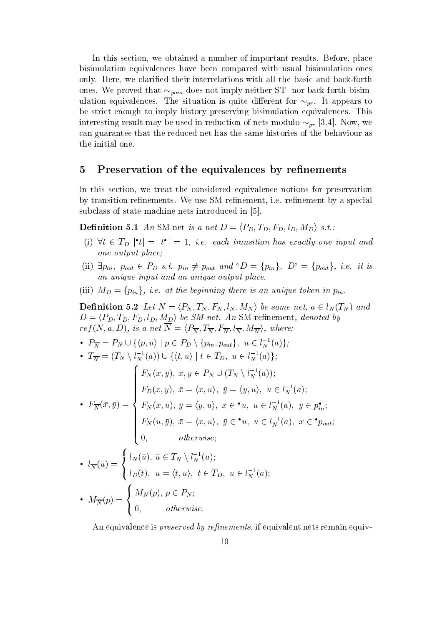In this section- we obtained a number of important results Before- place bisimulation equivalences have been compared with usual bisimulation ones only the clarical their interrelations with all the basic and basic and basic and basic and basic and basic an ones. We proved that  $\sim_{\text{pom}}$  does not imply neither ST- nor back-forth bisimulation equivalences. The situation is quite different for  $\sim_{pr}$ . It appears to be strict enough to imply history preserving bisimulation equivalences This interesting result may be used in reduction of hets modulo  $\sim_{nr}$  [5,4]. Now, we can guarantee that the reduced net has the same histories of the behaviour as the initial one

#### Preservation of the equivalences by re-nements

In this section- we treat the considered equivalence notions for preservation by transition renements We use SMrenement- ie renement by a special subclass of state-machine nets introduced in [5].

**Denition 5.1** An SM-net is a net  $D = \langle F_D, I_D, F_D, l_D, M_D \rangle$  s.t.:

- (1) vi  $\in$  1<sub>D</sub>  $\lceil t \rceil$  =  $\lceil t \rceil$  = 1, i.e. each transition has exactly one input and one output place
- (11)  $\exists p_{in}$ ,  $p_{out} \in P_D$  s.t.  $p_{in} \neq p_{out}$  and  $D = \{p_{in}\}\$ ,  $D = \{p_{out}\}\$ , i.e. it is an unique input and an unique output place
- 

(iii)  $Mp = \{p_{in}\},$  i.e. at the beginning there is an unique token in  $p_{in}$ .<br>**Definition 5.2** Let  $N = \langle P_N, T_N, F_N, l_N, M_N \rangle$  be some net,  $a \in l_N(T_N)$  and  $D = \langle P_D, T_D, F_D, l_D, M_D \rangle$  be SM-net. An SM-refinement, denoted by  $ref(X, a, D)$ , is a net  $N = \langle F_{\overline{N}}, I_{\overline{N}}, I_{\overline{N}}, I_{\overline{N}}, M_{\overline{N}} \rangle$ , where:  $D = \langle P_D, I_D, F_D, t_D, M_D \rangle$  be SM-net. An SM-reinfelding the  $\text{res}(\overline{N}, a, D)$ , is a net  $\overline{N} = \langle P_{\overline{N}}, T_{\overline{N}}, F_{\overline{N}}, l_{\overline{N}}, M_{\overline{N}} \rangle$ , where:<br>  $\bullet$   $P_{\overline{N}} = P_N \cup \{ \langle p, u \rangle \mid p \in P_D \setminus \{ p_{in}, p_{out} \}, u \in l_{\overline{N}}^{-1}(a) \};$ 

 $\begin{split} \textbf{P}_N &= P_N \cup \{ \langle p, u \rangle \mid p \in P_D \setminus \{ p_{in}, p_{out} \}, \ u \in l_N^{-1}(a) \}; \ \textbf{P}_N &= (T_N \setminus l_N^{-1}(a)) \cup \{ \langle t, u \rangle \mid t \in T_D, \ u \in l_N^{-1}(a) \}; \end{split}$ 

• 
$$
I_{\overline{N}} = (I_N \setminus l_N(a)) \cup \{ \langle t, u \rangle \mid t \in I_D, u \in l_N(a) \};
$$
  
\n
$$
F_N(\bar{x}, \bar{y}), \bar{x}, \bar{y} \in P_N \cup (T_N \setminus l_N^{-1}(a));
$$
\n•  $F_{\overline{N}}(\bar{x}, \bar{y}) = \begin{cases} F_N(\bar{x}, \bar{y}), \bar{x}, \bar{y} \in P_N \cup (T_N \setminus l_N^{-1}(a)); \\ F_D(x, y), \bar{x} = \langle x, u \rangle, \bar{y} = \langle y, u \rangle, u \in l_N^{-1}(a), y \in p_{in}^{\bullet}; \\ F_N(\bar{x}, u), \bar{y} = \langle x, u \rangle, \bar{y} \in \bullet u, u \in l_N^{-1}(a), x \in \bullet p_{out}; \\ P_N(u, \bar{y}), \bar{x} = \langle x, u \rangle, \bar{y} \in \bullet u, u \in l_N^{-1}(a), x \in \bullet p_{out}; \\ 0, \quad \text{otherwise}; \end{cases}$ 

\n- \n
$$
l_{\overline{N}}(\bar{u}) =\n \begin{cases}\n l_N(\bar{u}), \bar{u} \in T_N \setminus l_N^{-1}(a); \\
 l_D(t), \bar{u} = \langle t, u \rangle, \ t \in T_D, \ u \in l_N^{-1}(a); \\
 l_N(p) =\n \begin{cases}\n M_N(p), \ p \in P_N; \\
 0, \quad \text{otherwise.}\n \end{cases}\n \end{cases}
$$
\n
\n

**,我们就会**在这里,我们就会在这里,我们就会在这里,我们就会在这里,我们就会在这里,我们就会在这里,我们就会在这里,我们就会在这里,我们就会在这里,我们就会在这

an equivalence is preserved by representing and preserved by a proposition of the contract of the contract of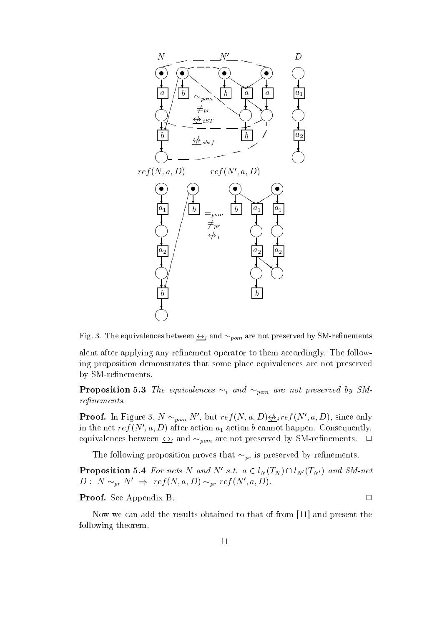

Figure and equivalence between  $\frac{1}{2}$  and  $\frac{1}{2}$  points are  $\frac{1}{2}$  and  $\frac{1}{2}$  such a constant  $\frac{1}{2}$ 

alent after applying any refinement operator to them accordingly. The following proposition demonstrates that some place equivalences are not preserved by SM-refinements.

**Proposition 5.5** The equivalences  $\sim_i$  and  $\sim_{pom}$  are not preserved by SMrelative to the control of the control of the control of the control of the control of the control of the control of the control of the control of the control of the control of the control of the control of the control of

**Proof.** In Figure 5, N  $\sim_{\textit{nom}} N$ , but  $ref(N, a, D) \frac{\left\langle A \right\rangle}{\left\langle D \right\rangle}$  if  $ef(N', a, D)$ , since only in the net  $ref(x, a, D)$  after action  $a_1$  action  $\theta$  cannot happen. Consequently, equivalences between  $\underline{\leftrightarrow}_i$  and  $\sim_{\text{pom}}$  are not preserved by SM-refinements.  $\square$ 

The following proposition proves that  $\sim_{pr}$  is preserved by refinements.

**Proposition 5.4** For nets *N* and *N* s.t.  $a \in t_N(I_N) \cup t_{N'}(I_{N'})$  and  $\mathcal{S}M$ -net  $D: N \sim_{pr} N \Rightarrow ref(N, a, D) \sim_{pr} ref(N, a, D).$ 

Proof- See Appendix B

Now we can add the results obtained to that of from and present the following theorem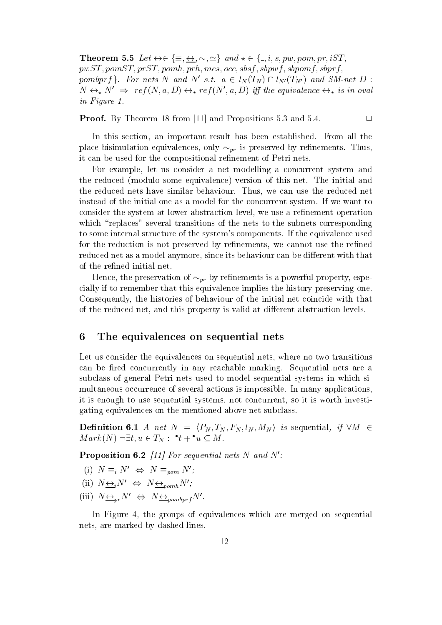**Theorem 5.5** Let  $\leftrightarrow \in \{\equiv, \leftrightarrow, \sim, \simeq\}$  and  $\star \in \{\_, i, s, pw, pom, pr, iST, q\}$  $pwST, pomST, prST, pomh, prh, mes, occ, sbsf, sbpwf, sbpomf, sbprf,$ pomopry  $\{ \cdot \}$ , for nets in and in s.t.  $a \in t_N(T_N) \cap t_{N'}(T_{N'})$  and SM-net  $D$  :  $N \leftrightarrow_{\star} N \Rightarrow T e_J(N,a,D) \leftrightarrow_{\star} T e_J(N,a,D)$  if the equivalence  $\leftrightarrow_{\star}$  is in oval in Figure 1.

Proof- By Theorem from and Propositions 
 and

 $\Box$ 

in this section and the product result has been established from all the section  $\sim$ place bisimulation equivalences, only  $\sim_{pr}$  is preserved by rennements. Thus, it can be used for the compositional refinement of Petri nets.

For example- let us consider a net modelling a concurrent system and the reduced (modulo some equivalence) version of this net. The initial and the reduced nets have similar behaviour Thus- we can use the reduced net instead of the initial one as a model for the concurrent system If we want to consider the system at lower abstraction level- we use a renement operation which "replaces" several transitions of the nets to the subnets corresponding to some internal structure of the system's components. If the equivalence used for the reduction is not preserved by renements- we cannot use the rened reduced net as a model and the discrete its behaviour can be discrete its behaviour can be discrete that the d of the refined initial net.

Hence, the preservation of  $\sim_{\it{pr}}$  by rennements is a powerful property, especially if to remember that this equivalence implies the history preserving one Consequently- the histories of behaviour of the initial net coincide with that of the reduced net- and this property is valid at distribution levels at distribution at the second contraction

#### The equivalences on sequential nets

Let us consider the equivalences on sequential nets- where no two transitions can be fired concurrently in any reachable marking. Sequential nets are a subclass of general Petri nets used to model sequential systems in which si multaneous occurrence of several actions is impossible. In many applications, it is the stronger to use sequential systems- proteining the concerning and the system and the concerning the gating equivalences on the mentioned above net subclass

**Denition 6.1** A net  $N = \langle Y_N, I_N, I_N, I_N, M_N \rangle$  is sequential, if  $VM \in$  $Mark(N) \neg \exists t, u \in I_N: t + u \subseteq M.$ 

**Proposition 0.2** [11] For sequential nets N and N :

- (i)  $N \equiv_i N' \Leftrightarrow N \equiv_{\text{pom}} N'$ ;
- (ii)  $N \leftrightarrow i^{N'} \Leftrightarrow N \leftrightarrow_{nomb} N'$ ;
- (iii)  $N_{\underbrace{\leftrightarrow_{pr}}N' \Leftrightarrow N_{\underbrace{\leftrightarrow_{pombprf}}N'}.$

In Figure -the groups of equivalences which are merged on sequential nets-by dashed by dashed by dashed lines-by dashed lines-by dashed lines-by dashed lines-by dashed lines-by da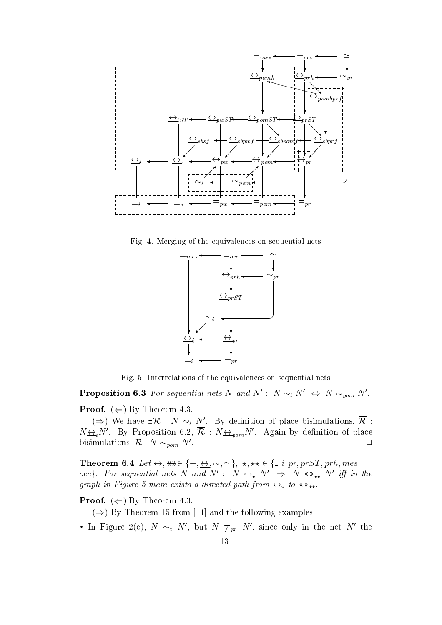

Fig. 4. Merging of the equivalences on sequential nets



- Fig. . . <del>Interrelations of</del> the extra only the extension of the equivalence of the extra sequential nets in

**Proposition 0.5** For sequential nets N and N :  $N \sim_i N \iff N \sim_{\text{pom}} N$ .

**Proof.**  $(\Leftarrow)$  by Theorem 4.5.

 $(\Rightarrow)$  we have  $\exists K : N \sim_i N$ . By definition of place bisimulations,  $K$ :  $N \leftrightarrow i^N$ . By Proposition 6.2,  $\kappa$  :  $N \leftrightarrow_{nom} N$ . Again by dennition of place  $\Box$  bisimulations,  $\kappa$  :  $N \sim_{\textit{pom}} N$ . bisimulations,  $\mathcal{R}: N \sim_{\text{pom}} N'.$ <br>
Theorem 6.4 Let  $\leftrightarrow$ ,  $\ast \ast \in \{\equiv, \leftrightarrow, \sim, \simeq\}$ ,  $\star$ ,  $\star \ast \in \{\equiv, i, pr, prST, prh, mes,$ 

occ $\gamma$ . For sequential nets in and in : in  $\leftrightarrow_{\star}$  in  $\Rightarrow$  in  $\leftrightarrow_{\star\star}$  in  $\eta$  in the graph in Figure 5 inere exists a airected path from  $\leftrightarrow_{\star}$  to  $\leftrightarrow_{\star\star}$ .

**Proof.**  $(\Leftarrow)$  by Theorem 4.5.

 $(\Rightarrow)$  by Theorem to from [11] and the following examples.

• In Figure  $\angle$ (e),  $N \sim_i N$ , but  $N \neq_{pr} N$ , since only in the net  $N$  the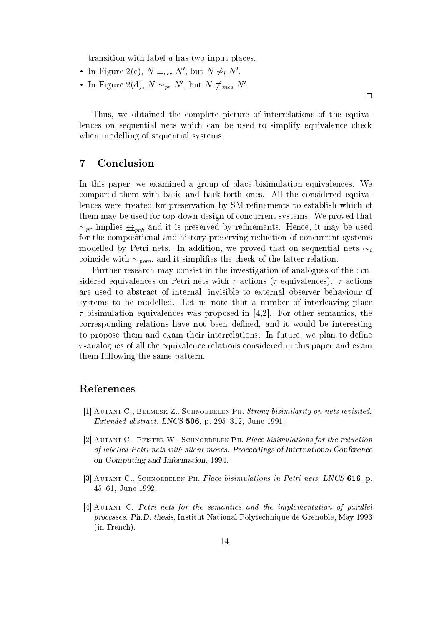transition with label  $a$  has two input places.

- In Figure  $\mathcal{Z}(C)$ ,  $N =_{occ} N$ , but  $N \nsim N$ .
- In Figure  $\mathcal{Z}(\alpha)$ , iv  $\sim_{pr} N$ , but iv  $\neq_{mes} N$ .

Thus- we obtained the complete picture of interrelations of the equiva lences on sequential nets which can be used to simplify equivalence check when modelling of sequential systems.

## Conclusion

In this paper- we examined a group of place bisimulation equivalences We compared them with basic and back-forth ones. All the considered equivalences were treated for preservation by SM-refinements to establish which of them may be used for top-down design of concurrent systems. We proved that  $\sim_{pr}$  implies  $\leftrightarrow_{nrh}$  and it is preserved by rennements. Hence, it may be used for the compositional and history-preserving reduction of concurrent systems modelled by Petri nets. In addition, we proved that on sequential nets  $\sim_i$ coincide with  $\sim_{\textit{nom}}$ , and it simplines the check of the latter relation.

Further research may consist in the investigation of analogues of the con sidered equivalences on Petri nets with  $\tau$ -actions ( $\tau$ -equivalences).  $\tau$ -actions are used to abstract of internal- invisible to external observer behaviour of systems to be modelled. Let us note that a number of interleaving place bisimulation equivalences was proposed in - For other semantics- the corresponding relations have not been dened-density would be interesting and it would be interesting to propose them and exam their interrelations In future- we plan to dene  $\tau$ -analogues of all the equivalence relations considered in this paper and exam them following the same pattern

#### References

- Autant C Belmesk Z Schnoebelen Ph Strong bisimilarity on nets revisited extended abstract LNCS - production abstract LNCS - production abstract LNCS - production abstract LNCS - production absorption absorption absorption absorption absorption absorption absorption absorption absorption absorp
- Autant C Pfister W Schnoebelen Ph Place bisimulations for the reduction of label led Petri nets with silent moves Proceedings of International Conference on Computing and Information
- Autant C Schnoebelen Ph Place bisimulations in Petri nets LNCS -- p  June
- - Autant C Petri nets for the semantics and the implementation of paral lel processes. Ph.D. thesis, Institut National Polytechnique de Grenoble, May 1993 (in French).

 $\Box$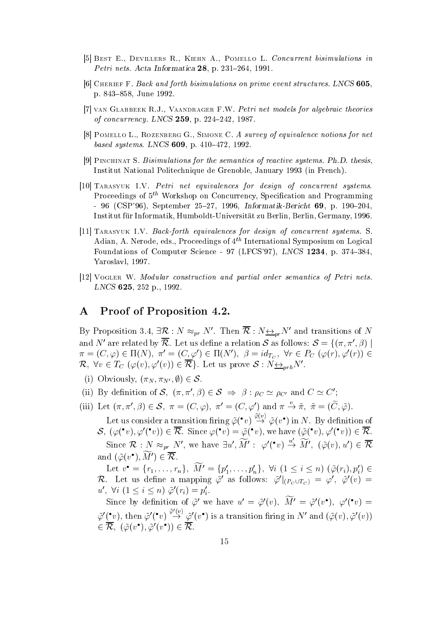- , a best E devillers R Kiehn A Pomer and A Pomer and A Power and A Pomer and A Pomer and A Pomer and A Pomer and Petri nets. Acta Informatica  $28$ , p. 231-264, 1991.
- Cherief F Back and forth bisimulations on prime event structures LNCS p  June
- van Glabbeek RJ Vaandrager FW Petri net models for algebraic theories of concurrency. LNCS  $259$ , p.  $224-242$ , 1987.
- Pomello L Rozenberg G Simone C A survey of equivalence notions for net based systems Latin strip process - the Latin strip
- Pinchinat S Bisimulations for the semantics of reactive systems PhD thesis Institut National Politechnique de Grenoble, January 1993 (in French).
- Tarasyuk IV Petri net equivalences for design of concurrent systems Proceedings of  $5<sup>th</sup>$  Workshop on Concurrency, Specification and Programming . A september of the september of the september of the september of the september of the september of the september of the september of the september of the september of the september of the september of the september of t Institut für Informatik, Humboldt-Universität zu Berlin, Berlin, Germany, 1996.
- $\blacksquare$  Tarasyuk IV Backforth equivalences for design of concurrent systems Systems Systems Systems Systems Systems Systems Systems Systems Systems Systems Systems Systems Systems Systems Systems Systems Systems Systems Sy Adian, A. Nerode, eds., Proceedings of  $4^{th}$  International Symposium on Logical Foundations of Computer Science - 97 (LFCS'97), LNCS 1234, p. 374-384, Yaroslavl, 1997.
- Vogler W Modular construction and partial order semantics of Petri nets LNCS - production - production - production - production - production - production - production - production -

#### A Proof of Proposition 4.2.

By Proposition 3.4,  $\exists \kappa : N \approx_{pr} N$ . Then  $\kappa : N \leftrightarrow_{pr} N$  and transitions of N and *i* are related by  $\kappa$ . Let us define a relation  $\delta$  as follows:  $\delta = \{(\pi, \pi, p) \mid$  $\pi = (C, \varphi) \in \Pi(N), \; \pi = (C, \varphi) \in \Pi(N), \; \rho = ia_{T_C}, \; \forall r \in P_C \; (\varphi(r), \varphi(r)) \in \mathbb{C}$  $\kappa$ ,  $\forall v \in I_C$   $(\varphi(v), \varphi(v)) \in \kappa$ . Let us prove  $\varphi : N \underline{\leftrightarrow}_{prh} N$ .  $\begin{aligned} \n\overline{S}(\mathcal{C}, \varphi) & \in \Pi(N), \ \overline{R} \\ \n\overline{S}(\mathcal{R}) & \text{Let us prove} \\ \n\overline{S}(\mathcal{S}) & \text{Let us prove} \n\end{aligned}$ 

- (1) Obviously,  $(\pi_N, \pi_{N'}, \psi)$
- (i) Obviously,  $(\pi_N, \pi_{N'}, \emptyset) \in S$ .<br>
(ii) By definition of S,  $(\pi, \pi', \beta) \in S \implies \beta : \rho_C \simeq \rho_{C'}$  and  $C \simeq C'$ ; (ii) By definition of S,  $(\pi, \pi', \beta) \in S \implies \beta : \rho_C \simeq \rho_{C'}$  and  $C \simeq C'$ ;<br>(iii) Let  $(\pi, \pi', \beta) \in S$ ,  $\pi = (C, \varphi)$ ,  $\pi' = (C, \varphi')$  and  $\pi \stackrel{v}{\to} \tilde{\pi}$ ,  $\tilde{\pi} = (\tilde{C}, \tilde{\varphi})$ .
- 

Let us consider a transition firing  $\tilde{\varphi}(^{\bullet}v) \rightarrow \tilde{\varphi}(v^{\bullet})$  in N. By definition of  $S$ ,  $(\varphi([v], \varphi([v])) \in K$ . Since  $\varphi([v] = \varphi([v], w)$  we have  $(\varphi([v], \varphi([v])) \in K$ . Since  $\mathcal{R}: N \approx_{pr} N'$ , we have  $\exists u', M': \varphi'(\bullet v) \stackrel{u}{\to} M', (\tilde{\varphi}(v), u') \in \overline{\mathcal{R}}$ and  $(\varphi(v_1), w_1) \in \mathcal{K}$ .

Let  $v = \{r_1, \ldots, r_n\}, M = \{p_1, \ldots, p_n\}, V \cup \{1 \leq i \leq n\}$   $(\varphi(r_i), p_i)$  $\kappa$ . Let us denne a mapping  $\varphi$  as follows:  $\varphi|_{(P_C \cup T_C)} = \varphi, \varphi(v) =$ u.  $\forall i \in I \leq i \leq n$  i  $\varphi(r_i) = p$  $r_i = p_i$ .

Since by definition of  $\varphi$  we have  $u = \varphi(v)$ ,  $M = \varphi(v)$ ,  $\varphi(v) =$  $\tilde{\varphi}'(\bullet v)$ , then  $\tilde{\varphi}'(\bullet v) \stackrel{\varphi(v)}{\rightarrow} \tilde{\varphi}'(v\bullet)$  is a transition firing in N' and  $(\tilde{\varphi}(v), \tilde{\varphi}'(v))$  $\in \mathcal{R}$ ,  $\left[ \varphi(v), \varphi(v) \right] \in \mathcal{R}$ .